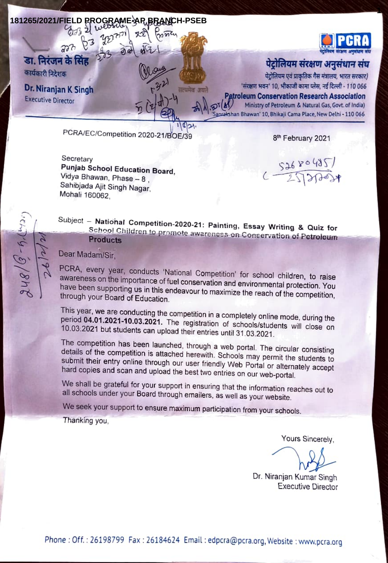

Secretary Punjab School Education Board,<br>Vidya Bhawan, Phase – 8,<br>Sahibjada Ajit Singh Nagar,<br>Mohali 160062

 $251200485$ 

**1**

Subject – National Competition-2020-21: Painting, Essay Writing & Quiz for<br>School Children to promote awarencss on Conservation of Petroleum Products

Dear Madam/Sir,

 $48/8 - 6.0$ 

PCRA, every year, conducts 'National Competition' for school children, to raise<br>awareness on the importance of fuel conservation and environmental protection. You<br>have been supporting us in this endeavour to maximize the r

This year, we are conducting the competition in a completely online mode, during the period 04.01.2021-10.03.2021. The registration of schools/students will close on 10.03.2021 but students can upload their entries until 3

details of the competition is attached herewith. Schools may permit the students to submit their entry online through our user friendly Web Portal or alternately accept hard copies and scan and upload the best two entries

We shall be grateful for your support in ensuring that the information reaches out to all schools under your Board through emailers, as well as your website.

We seek your support to ensure maximum participation from your schools.

Thanking you,

Yours Sincerely

Dr. Niranjan Kumar Singh Executive Director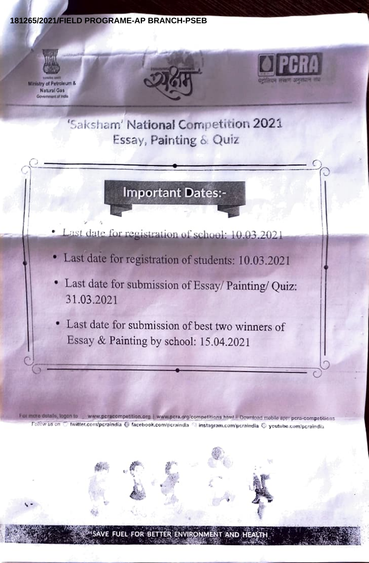#### 181265/2021/FIELD PROGRAME-AP BRANCH-PSEB



'Saksham' National Competition 2021 Essay, Painting & Quiz

### **Important Dates:-**

Last date for registration of school. 10.03.2021

- · Last date for registration of students: 10.03.2021
- · Last date for submission of Essay/ Painting/ Quiz: 31.03.2021
- · Last date for submission of best two winners of Essay & Painting by school: 15.04.2021

For more details, logon to www.pcracompetition.org | www.pcra.org/competitions.html | Download mobile apr pcra-competitions Follow us on the twitter.com/peraindia @ facebook.com/peraindla % instagram.com/peraindia @ youtube.com/peraindia

E FUEL FOR BETTER ENVIRONMENT AND HEALTH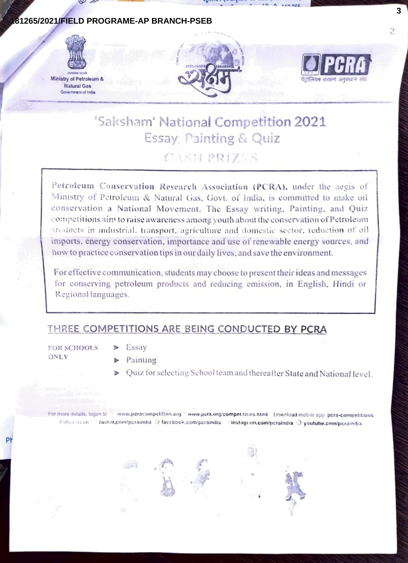### 81265/2021/FIELD PROGRAME-AP BRANCH-PSEB



Ministry of Petroleum & **Natural Gas Government of India** 





### 'Saksham' National Competition 2021 Essay, Painting & Quiz CASH PRIZES

Petroleum Conservation Research Association (PCRA), under the aegis of Ministry of Petroleum & Natural Gas, Govt. of India, is committed to make oil conservation a National Movement. The Essay writing, Painting, and Quiz competitions aim to raise awareness among youth about the conservation of Petroleum products in industrial, transport, agriculture and domestic sector, reduction of oil imports, energy conservation, importance and use of renewable energy sources, and how to practice conservation tips in our daily lives, and save the environment.

For effective communication, students may choose to present their ideas and messages for conserving petroleum products and reducing emission, in English, Hindi or Regional languages.

#### THREE COMPETITIONS ARE BEING CONDUCTED BY PCRA

**FOR SCHOOLS ONLY** 

- $\triangleright$  Essay
- $\blacktriangleright$  Painting
- ▶ Quiz for selecting School team and thereafter State and National level.

For more details, logon to www.perocompetition.org 'www.pcra.org/competitions.html | Download mobile app: pcra-competitions Follow us on twitter.com/pcraindia @ facebook.com/pcraindia 0 instagram.com/pcraindia O youtube.com/pcraindia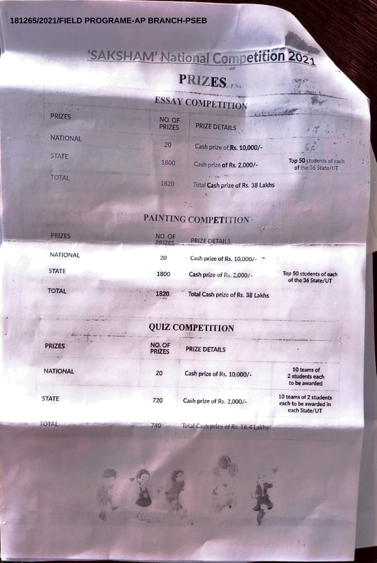**181265/2021/FIELD PROGRAME-AP BRANCH-PSEB**

# SAKSHAM' National Competition 2021

# PRIZES.

**4**

### ESSAY COMPETITION

| <b>PRIZES</b>   | NO. OF<br><b>PRIZES</b> | $1 - e^{-\frac{1}{2}x}$ is the contraction |                                                |  |
|-----------------|-------------------------|--------------------------------------------|------------------------------------------------|--|
|                 |                         | <b>PRIZE DETAILS</b>                       |                                                |  |
| <b>NATIONAL</b> | 20                      | Cash prize of Rs. 10,000/-                 | √<br>⊘r                                        |  |
| <b>STATE</b>    | 1800                    | Cash prize of Rs. 2,000/-                  | Top 50 students of each<br>of the 36 State/UT. |  |
| <b>TOTAL</b>    | 1820                    | Total Cash prize of Rs. 38 Lakhs           |                                                |  |

### PAINTING COMPETITION

| <b>PRIZES</b> | NO. OF<br><b>PRIZES</b> | PRIZE DETAILS                    |                                               |
|---------------|-------------------------|----------------------------------|-----------------------------------------------|
| NATIONAL      | 20                      | Cash prize of Rs. 10,000/-       |                                               |
| <b>STATE</b>  | 1800                    | Cash prize of Rs. 2,000/-        | Top 50 students of each<br>of the 36 State/UT |
| <b>TOTAL</b>  | 1820                    | Total Cash prize of Rs. 38 Lakhs |                                               |

### QUIZ COMPETITION

| <b>PRIZES</b>   | NO. OF<br><b>PRIZES</b> | <b>PRIZE DETAILS</b>       |                                                                  |
|-----------------|-------------------------|----------------------------|------------------------------------------------------------------|
| <b>NATIONAL</b> | 20                      | Cash prize of Rs. 10,000/- | 10 teams of<br>2 students each<br>to be awarded                  |
| <b>STATE</b>    | 720                     | Cash prize of Rs. 2,000/-  | 10 teams of 2 students<br>each to be awarded in<br>each State/UT |

TOTAL 740 Total Cash prize of Rs. 16.4 Lakhs